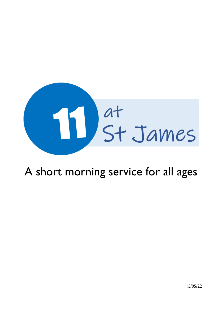

# A short morning service for all ages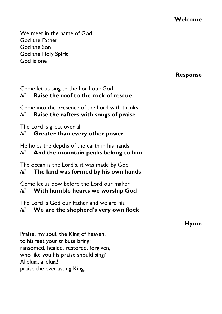**Welcome**

We meet in the name of God God the Father God the Son God the Holy Spirit God is one

#### **Response**

#### Come let us sing to the Lord our God *All* **Raise the roof to the rock of rescue**

Come into the presence of the Lord with thanks

## *All* **Raise the rafters with songs of praise**

The Lord is great over all

## *All* **Greater than every other power**

He holds the depths of the earth in his hands

## *All* **And the mountain peaks belong to him**

The ocean is the Lord's, it was made by God

## *All* **The land was formed by his own hands**

Come let us bow before the Lord our maker

## *All* **With humble hearts we worship God**

The Lord is God our Father and we are his

## *All* **We are the shepherd's very own flock**

**Hymn**

Praise, my soul, the King of heaven, to his feet your tribute bring; ransomed, healed, restored, forgiven, who like you his praise should sing? Alleluia, alleluia! praise the everlasting King.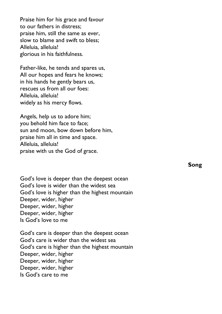Praise him for his grace and favour to our fathers in distress; praise him, still the same as ever, slow to blame and swift to bless; Alleluia, alleluia! glorious in his faithfulness.

Father-like, he tends and spares us, All our hopes and fears he knows; in his hands he gently bears us, rescues us from all our foes: Alleluia, alleluia! widely as his mercy flows.

Angels, help us to adore him; you behold him face to face; sun and moon, bow down before him, praise him all in time and space. Alleluia, alleluia! praise with us the God of grace.

God's love is deeper than the deepest ocean God's love is wider than the widest sea God's love is higher than the highest mountain Deeper, wider, higher Deeper, wider, higher Deeper, wider, higher Is God's love to me

God's care is deeper than the deepest ocean God's care is wider than the widest sea God's care is higher than the highest mountain Deeper, wider, higher Deeper, wider, higher Deeper, wider, higher Is God's care to me

**Song**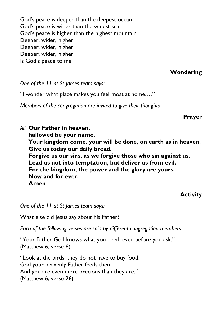God's peace is deeper than the deepest ocean God's peace is wider than the widest sea God's peace is higher than the highest mountain Deeper, wider, higher Deeper, wider, higher Deeper, wider, higher Is God's peace to me

**Wondering**

*One of the 11 at St James team says:*

"I wonder what place makes you feel most at home.…"

*Members of the congregation are invited to give their thoughts*

**Prayer**

*All* **Our Father in heaven, hallowed be your name. Your kingdom come, your will be done, on earth as in heaven. Give us today our daily bread. Forgive us our sins, as we forgive those who sin against us. Lead us not into temptation, but deliver us from evil. For the kingdom, the power and the glory are yours. Now and for ever. Amen**

## **Activity**

*One of the 11 at St James team says:*

What else did Jesus say about his Father?

*Each of the following verses are said by different congregation members.*

"Your Father God knows what you need, even before you ask." (Matthew 6, verse 8)

"Look at the birds; they do not have to buy food. God your heavenly Father feeds them. And you are even more precious than they are." (Matthew 6, verse 26)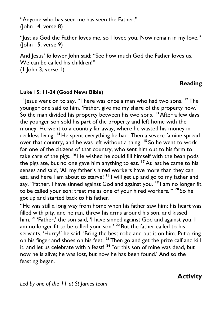"Anyone who has seen me has seen the Father." (John 14, verse 8)

"Just as God the Father loves me, so I loved you. Now remain in my love." (John 15, verse 9)

And Jesus' follower John said: "See how much God the Father loves us. We can be called his children!"

(1 John 3, verse 1)

## **Reading**

#### **Luke 15: 11-24 (Good News Bible)**

**<sup>11</sup>** Jesus went on to say, "There was once a man who had two sons. **<sup>12</sup>** The younger one said to him, 'Father, give me my share of the property now.' So the man divided his property between his two sons. **<sup>13</sup>** After a few days the younger son sold his part of the property and left home with the money. He went to a country far away, where he wasted his money in reckless living. **<sup>14</sup>** He spent everything he had. Then a severe famine spread over that country, and he was left without a thing. **<sup>15</sup>** So he went to work for one of the citizens of that country, who sent him out to his farm to take care of the pigs. **<sup>16</sup>** He wished he could fill himself with the bean pods the pigs ate, but no one gave him anything to eat. **<sup>17</sup>** At last he came to his senses and said, 'All my father's hired workers have more than they can eat, and here I am about to starve! **<sup>18</sup>** I will get up and go to my father and say, "Father, I have sinned against God and against you. **<sup>19</sup>** I am no longer fit to be called your son; treat me as one of your hired workers."' **<sup>20</sup>** So he got up and started back to his father.

"He was still a long way from home when his father saw him; his heart was filled with pity, and he ran, threw his arms around his son, and kissed him. **<sup>21</sup>** 'Father,' the son said, 'I have sinned against God and against you. I am no longer fit to be called your son.' **<sup>22</sup>** But the father called to his servants. 'Hurry!' he said. 'Bring the best robe and put it on him. Put a ring on his finger and shoes on his feet. **<sup>23</sup>** Then go and get the prize calf and kill it, and let us celebrate with a feast! **<sup>24</sup>** For this son of mine was dead, but now he is alive; he was lost, but now he has been found.' And so the feasting began.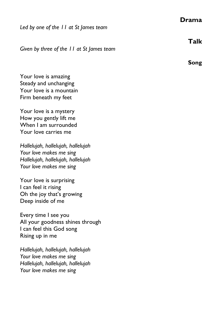#### **Drama**

*Led by one of the 11 at St James team*

*Given by three of the 11 at St James team*

Your love is amazing Steady and unchanging Your love is a mountain Firm beneath my feet

Your love is a mystery How you gently lift me When I am surrounded Your love carries me

*Hallelujah, hallelujah, hallelujah Your love makes me sing Hallelujah, hallelujah, hallelujah Your love makes me sing*

Your love is surprising I can feel it rising Oh the joy that's growing Deep inside of me

Every time I see you All your goodness shines through I can feel this God song Rising up in me

*Hallelujah, hallelujah, hallelujah Your love makes me sing Hallelujah, hallelujah, hallelujah Your love makes me sing*

**Talk**

**Song**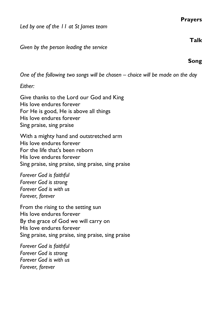#### **Prayers**

*Led by one of the 11 at St James team*

*Given by the person leading the service*

*One of the following two songs will be chosen – choice will be made on the day*

*Either:*

Give thanks to the Lord our God and King His love endures forever For He is good, He is above all things His love endures forever Sing praise, sing praise

With a mighty hand and outstretched arm His love endures forever For the life that's been reborn His love endures forever Sing praise, sing praise, sing praise, sing praise

*Forever God is faithful Forever God is strong Forever God is with us Forever, forever*

From the rising to the setting sun His love endures forever By the grace of God we will carry on His love endures forever Sing praise, sing praise, sing praise, sing praise

*Forever God is faithful Forever God is strong Forever God is with us Forever, forever*

**Talk**

**Song**